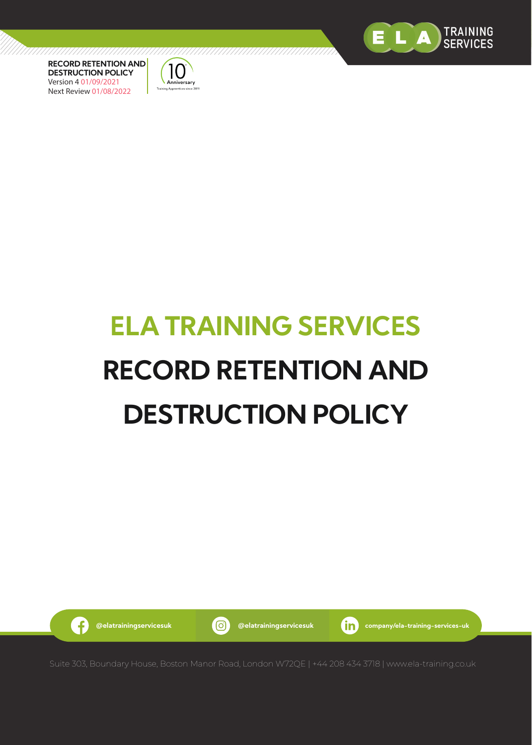



# **ELA TRAINING SERVICES RECORD RETENTION AND DESTRUCTION POLICY**

G

**@elatrainingservicesuk @elatrainingservicesuk company/ela-training-services-uk**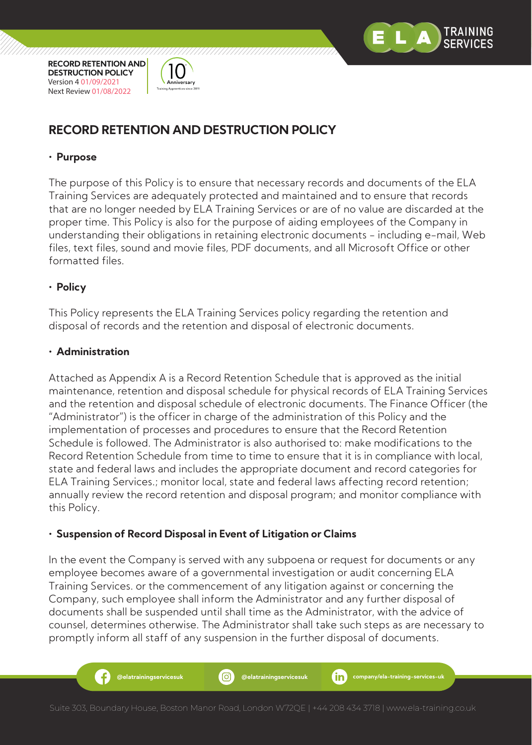



# **RECORD RETENTION AND DESTRUCTION POLICY**

# **• Purpose**

The purpose of this Policy is to ensure that necessary records and documents of the ELA Training Services are adequately protected and maintained and to ensure that records that are no longer needed by ELA Training Services or are of no value are discarded at the proper time. This Policy is also for the purpose of aiding employees of the Company in understanding their obligations in retaining electronic documents - including e-mail, Web files, text files, sound and movie files, PDF documents, and all Microsoft Office or other formatted files.

### **• Policy**

This Policy represents the ELA Training Services policy regarding the retention and disposal of records and the retention and disposal of electronic documents.

### **• Administration**

Ŧ

Attached as Appendix A is a Record Retention Schedule that is approved as the initial maintenance, retention and disposal schedule for physical records of ELA Training Services and the retention and disposal schedule of electronic documents. The Finance Officer (the "Administrator") is the officer in charge of the administration of this Policy and the implementation of processes and procedures to ensure that the Record Retention Schedule is followed. The Administrator is also authorised to: make modifications to the Record Retention Schedule from time to time to ensure that it is in compliance with local, state and federal laws and includes the appropriate document and record categories for ELA Training Services.; monitor local, state and federal laws affecting record retention; annually review the record retention and disposal program; and monitor compliance with this Policy.

# **• Suspension of Record Disposal in Event of Litigation or Claims**

In the event the Company is served with any subpoena or request for documents or any employee becomes aware of a governmental investigation or audit concerning ELA Training Services. or the commencement of any litigation against or concerning the Company, such employee shall inform the Administrator and any further disposal of documents shall be suspended until shall time as the Administrator, with the advice of counsel, determines otherwise. The Administrator shall take such steps as are necessary to promptly inform all staff of any suspension in the further disposal of documents.

**@elatrainingservicesuk @elatrainingservicesuk company/ela-training-services-uk**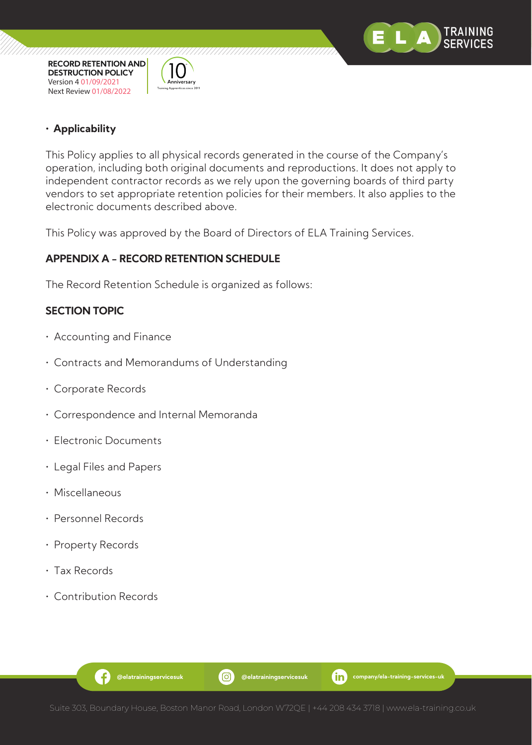

**• Applicability**

**RECORD RETENTION AND DESTRUCTION POLICY** Version 4 01/09/2021 Next Review 01/08/2022

**Inniversary Training Apprentices since 201** 

This Policy applies to all physical records generated in the course of the Company's operation, including both original documents and reproductions. It does not apply to independent contractor records as we rely upon the governing boards of third party vendors to set appropriate retention policies for their members. It also applies to the electronic documents described above.

This Policy was approved by the Board of Directors of ELA Training Services.

# **APPENDIX A - RECORD RETENTION SCHEDULE**

The Record Retention Schedule is organized as follows:

### **SECTION TOPIC**

- Accounting and Finance
- Contracts and Memorandums of Understanding
- Corporate Records
- Correspondence and Internal Memoranda
- Electronic Documents
- Legal Files and Papers
- Miscellaneous
- Personnel Records
- Property Records
- Tax Records
- Contribution Records

G

**@elatrainingservicesuk @elatrainingservicesuk company/ela-training-services-uk**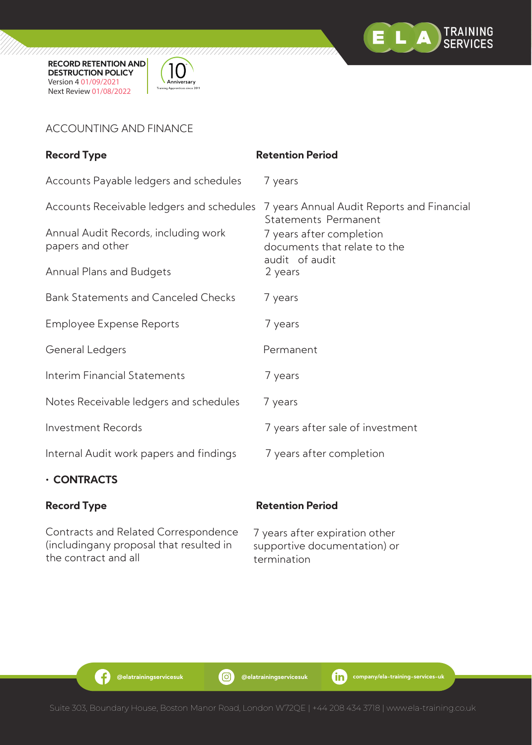



# ACCOUNTING AND FINANCE

| <b>Record Type</b>                                                                | <b>Retention Period</b>                                                   |  |
|-----------------------------------------------------------------------------------|---------------------------------------------------------------------------|--|
| Accounts Payable ledgers and schedules                                            | 7 years                                                                   |  |
| Accounts Receivable ledgers and schedules<br>Annual Audit Records, including work | 7 years Annual Audit Reports and Financial<br><b>Statements Permanent</b> |  |
| papers and other                                                                  | 7 years after completion<br>documents that relate to the                  |  |
| <b>Annual Plans and Budgets</b>                                                   | audit of audit<br>2 years                                                 |  |
| <b>Bank Statements and Canceled Checks</b>                                        | 7 years                                                                   |  |
| Employee Expense Reports                                                          | 7 years                                                                   |  |
| General Ledgers                                                                   | Permanent                                                                 |  |
| <b>Interim Financial Statements</b>                                               | 7 years                                                                   |  |
| Notes Receivable ledgers and schedules                                            | 7 years                                                                   |  |
| <b>Investment Records</b>                                                         | 7 years after sale of investment                                          |  |
| Internal Audit work papers and findings                                           | 7 years after completion                                                  |  |

# **• CONTRACTS**

Contracts and Related Correspondence (includingany proposal that resulted in the contract and all

# **Record Type Retention Period**

7 years after expiration other supportive documentation) or termination

G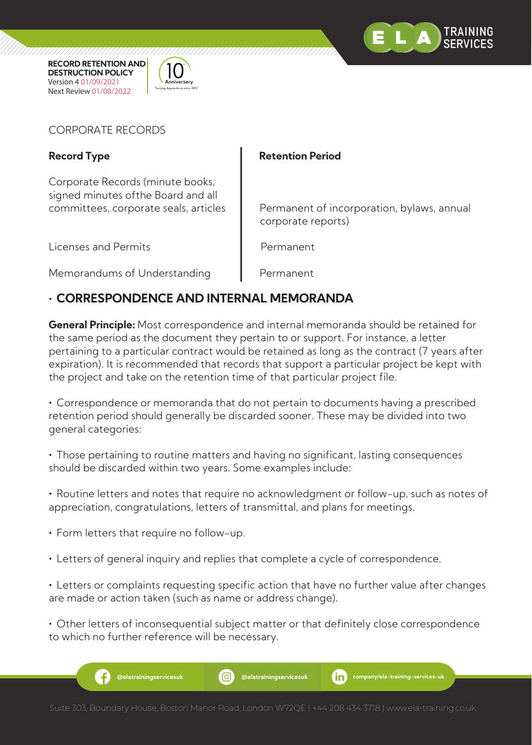



# CORPORATE RECORDS

Corporate Records (minute books, signed minutes ofthe Board and all

Licenses and Permits **Permanent** 

# Record Type **Retention Period**

committees, corporate seals, articles  $\|\cdot\|$  Permanent of incorporation, bylaws, annual corporate reports)

Memorandums of Understanding Permanent

# **• CORRESPONDENCE AND INTERNAL MEMORANDA**

**General Principle:** Most correspondence and internal memoranda should be retained for the same period as the document they pertain to or support. For instance, a letter pertaining to a particular contract would be retained as long as the contract (7 years after expiration). It is recommended that records that support a particular project be kept with the project and take on the retention time of that particular project file.

**•** Correspondence or memoranda that do not pertain to documents having a prescribed retention period should generally be discarded sooner. These may be divided into two general categories:

**•** Those pertaining to routine matters and having no significant, lasting consequences should be discarded within two years. Some examples include:

**•** Routine letters and notes that require no acknowledgment or follow-up, such as notes of appreciation, congratulations, letters of transmittal, and plans for meetings.

**•** Form letters that require no follow-up.

**•** Letters of general inquiry and replies that complete a cycle of correspondence.

**•** Letters or complaints requesting specific action that have no further value after changes are made or action taken (such as name or address change).

**•** Other letters of inconsequential subject matter or that definitely close correspondence to which no further reference will be necessary.

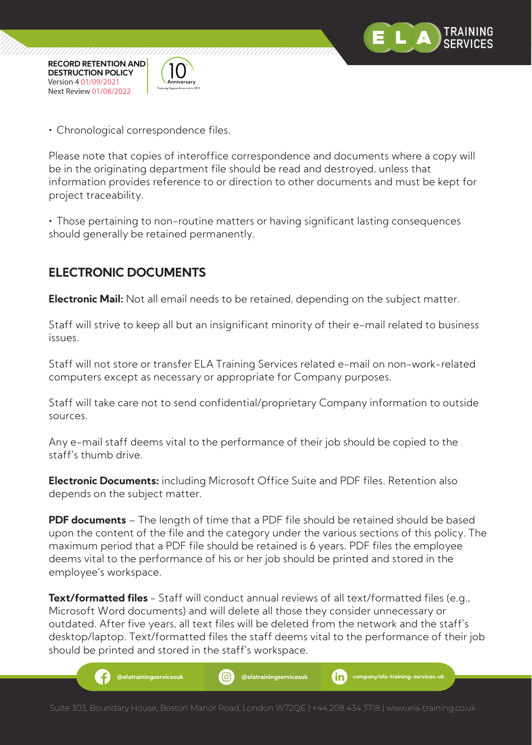



**•** Chronological correspondence files.

Please note that copies of interoffice correspondence and documents where a copy will be in the originating department file should be read and destroyed, unless that information provides reference to or direction to other documents and must be kept for project traceability.

**•** Those pertaining to non-routine matters or having significant lasting consequences should generally be retained permanently.

# **ELECTRONIC DOCUMENTS**

**Electronic Mail:** Not all email needs to be retained, depending on the subject matter.

Staff will strive to keep all but an insignificant minority of their e-mail related to business issues.

Staff will not store or transfer ELA Training Services related e-mail on non-work-related computers except as necessary or appropriate for Company purposes.

Staff will take care not to send confidential/proprietary Company information to outside sources.

Any e-mail staff deems vital to the performance of their job should be copied to the staff's thumb drive.

**Electronic Documents:** including Microsoft Office Suite and PDF files. Retention also depends on the subject matter.

**PDF documents** – The length of time that a PDF file should be retained should be based upon the content of the file and the category under the various sections of this policy. The maximum period that a PDF file should be retained is 6 years. PDF files the employee deems vital to the performance of his or her job should be printed and stored in the employee's workspace.

**Text/formatted files** - Staff will conduct annual reviews of all text/formatted files (e.g., Microsoft Word documents) and will delete all those they consider unnecessary or outdated. After five years, all text files will be deleted from the network and the staff's desktop/laptop. Text/formatted files the staff deems vital to the performance of their job should be printed and stored in the staff's workspace.

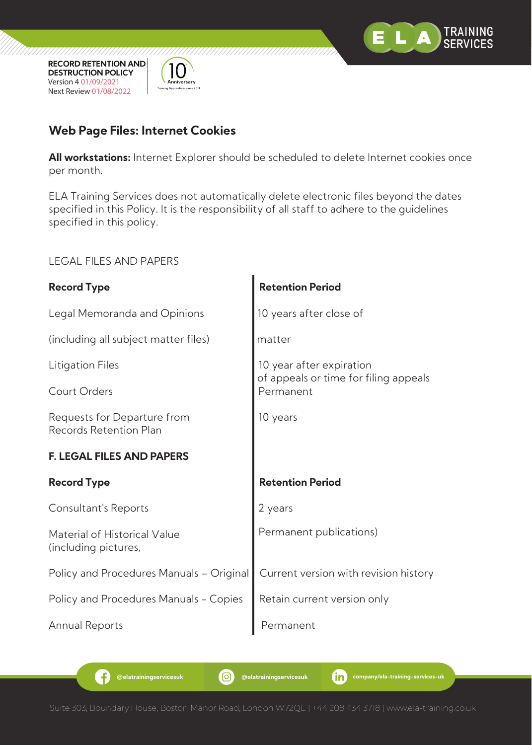



# **Web Page Files: Internet Cookies**

**All workstations:** Internet Explorer should be scheduled to delete Internet cookies once per month.

ELA Training Services does not automatically delete electronic files beyond the dates specified in this Policy. It is the responsibility of all staff to adhere to the guidelines specified in this policy.

LEGAL FILES AND PAPERS

| <b>Record Type</b>                                           | <b>Retention Period</b>                            |  |
|--------------------------------------------------------------|----------------------------------------------------|--|
| Legal Memoranda and Opinions                                 | 10 years after close of                            |  |
| (including all subject matter files)                         | matter                                             |  |
| Litigation Files                                             | 10 year after expiration                           |  |
| Court Orders                                                 | of appeals or time for filing appeals<br>Permanent |  |
| Requests for Departure from<br><b>Records Retention Plan</b> | 10 years                                           |  |
| <b>F. LEGAL FILES AND PAPERS</b>                             |                                                    |  |
| <b>Record Type</b>                                           | <b>Retention Period</b>                            |  |
| Consultant's Reports                                         | 2 years                                            |  |
| Material of Historical Value<br>(including pictures,         | Permanent publications)                            |  |
| Policy and Procedures Manuals – Original                     | Current version with revision history              |  |
| Policy and Procedures Manuals - Copies                       | Retain current version only                        |  |
| Annual Reports                                               | Permanent                                          |  |

G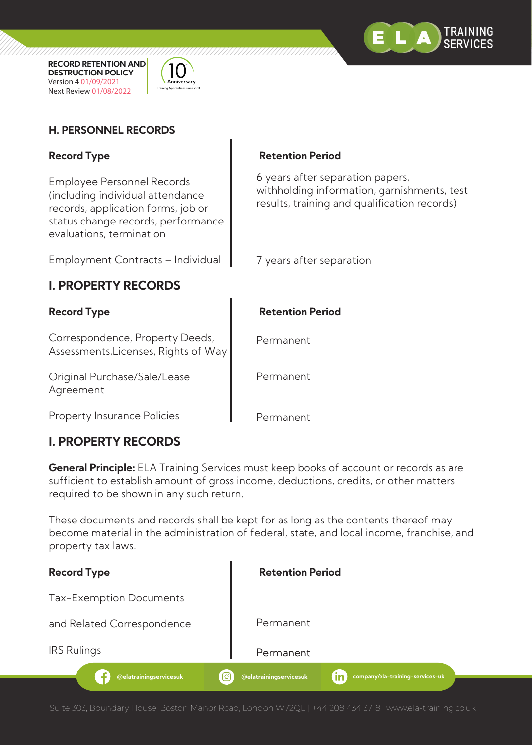



# **H. PERSONNEL RECORDS**

Employee Personnel Records (including individual attendance records, application forms, job or status change records, performance evaluations, termination

Employment Contracts – Individual

# **I. PROPERTY RECORDS**

Correspondence, Property Deeds, Assessments,Licenses, Rights of Way

Original Purchase/Sale/Lease Agreement

Property Insurance Policies

# **I. PROPERTY RECORDS**

### Record Type **Retention Period**

6 years after separation papers, withholding information, garnishments, test results, training and qualification records)

7 years after separation

# Record Type **Retention Period**

Permanent

Permanent

Permanent

**General Principle:** ELA Training Services must keep books of account or records as are sufficient to establish amount of gross income, deductions, credits, or other matters required to be shown in any such return.

These documents and records shall be kept for as long as the contents thereof may become material in the administration of federal, state, and local income, franchise, and property tax laws.